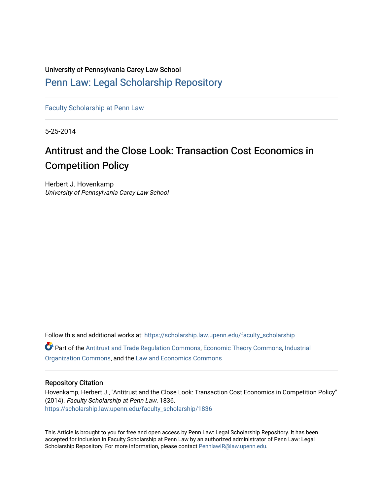University of Pennsylvania Carey Law School [Penn Law: Legal Scholarship Repository](https://scholarship.law.upenn.edu/)

[Faculty Scholarship at Penn Law](https://scholarship.law.upenn.edu/faculty_scholarship)

5-25-2014

# Antitrust and the Close Look: Transaction Cost Economics in Competition Policy

Herbert J. Hovenkamp University of Pennsylvania Carey Law School

Follow this and additional works at: [https://scholarship.law.upenn.edu/faculty\\_scholarship](https://scholarship.law.upenn.edu/faculty_scholarship?utm_source=scholarship.law.upenn.edu%2Ffaculty_scholarship%2F1836&utm_medium=PDF&utm_campaign=PDFCoverPages)  Part of the [Antitrust and Trade Regulation Commons,](http://network.bepress.com/hgg/discipline/911?utm_source=scholarship.law.upenn.edu%2Ffaculty_scholarship%2F1836&utm_medium=PDF&utm_campaign=PDFCoverPages) [Economic Theory Commons](http://network.bepress.com/hgg/discipline/344?utm_source=scholarship.law.upenn.edu%2Ffaculty_scholarship%2F1836&utm_medium=PDF&utm_campaign=PDFCoverPages), [Industrial](http://network.bepress.com/hgg/discipline/347?utm_source=scholarship.law.upenn.edu%2Ffaculty_scholarship%2F1836&utm_medium=PDF&utm_campaign=PDFCoverPages)  [Organization Commons](http://network.bepress.com/hgg/discipline/347?utm_source=scholarship.law.upenn.edu%2Ffaculty_scholarship%2F1836&utm_medium=PDF&utm_campaign=PDFCoverPages), and the [Law and Economics Commons](http://network.bepress.com/hgg/discipline/612?utm_source=scholarship.law.upenn.edu%2Ffaculty_scholarship%2F1836&utm_medium=PDF&utm_campaign=PDFCoverPages) 

#### Repository Citation

Hovenkamp, Herbert J., "Antitrust and the Close Look: Transaction Cost Economics in Competition Policy" (2014). Faculty Scholarship at Penn Law. 1836. [https://scholarship.law.upenn.edu/faculty\\_scholarship/1836](https://scholarship.law.upenn.edu/faculty_scholarship/1836?utm_source=scholarship.law.upenn.edu%2Ffaculty_scholarship%2F1836&utm_medium=PDF&utm_campaign=PDFCoverPages)

This Article is brought to you for free and open access by Penn Law: Legal Scholarship Repository. It has been accepted for inclusion in Faculty Scholarship at Penn Law by an authorized administrator of Penn Law: Legal Scholarship Repository. For more information, please contact [PennlawIR@law.upenn.edu.](mailto:PennlawIR@law.upenn.edu)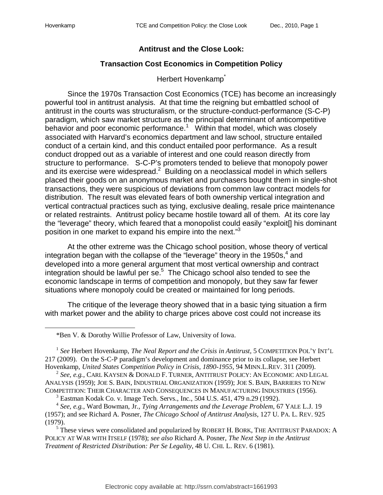### **Antitrust and the Close Look:**

## **Transaction Cost Economics in Competition Policy**

### Herbert Hovenkamp<sup>\*</sup>

Since the 1970s Transaction Cost Economics (TCE) has become an increasingly powerful tool in antitrust analysis. At that time the reigning but embattled school of antitrust in the courts was structuralism, or the structure-conduct-performance (S-C-P) paradigm, which saw market structure as the principal determinant of anticompetitive behavior and poor economic performance.<sup>1</sup> Within that model, which was closely associated with Harvard's economics department and law school, structure entailed conduct of a certain kind, and this conduct entailed poor performance. As a result conduct dropped out as a variable of interest and one could reason directly from structure to performance. S-C-P's promoters tended to believe that monopoly power and its exercise were widespread. $2$  Building on a neoclassical model in which sellers placed their goods on an anonymous market and purchasers bought them in single-shot transactions, they were suspicious of deviations from common law contract models for distribution. The result was elevated fears of both ownership vertical integration and vertical contractual practices such as tying, exclusive dealing, resale price maintenance or related restraints. Antitrust policy became hostile toward all of them. At its core lay the "leverage" theory, which feared that a monopolist could easily "exploit[] his dominant position in one market to expand his empire into the next."<sup>3</sup>

At the other extreme was the Chicago school position, whose theory of vertical integration began with the collapse of the "leverage" theory in the 1950s, $4$  and developed into a more general argument that most vertical ownership and contract integration should be lawful per se. $5$  The Chicago school also tended to see the economic landscape in terms of competition and monopoly, but they saw far fewer situations where monopoly could be created or maintained for long periods.

The critique of the leverage theory showed that in a basic tying situation a firm with market power and the ability to charge prices above cost could not increase its

 $3$  Eastman Kodak Co. v. Image Tech. Servs., Inc., 504 U.S. 451, 479 n.29 (1992).

<sup>\*</sup>Ben V. & Dorothy Willie Professor of Law, University of Iowa.

<sup>&</sup>lt;sup>1</sup> See Herbert Hovenkamp, *The Neal Report and the Crisis in Antitrust*, 5 COMPETITION POL'Y INT'L 217 (2009). On the S-C-P paradigm's development and dominance prior to its collapse, see Herbert Hovenkamp, *United States Competition Policy in Crisis, 1890-1955*, 94 MINN.L.REV. 311 (2009).

<sup>2</sup> *See, e.g.*, CARL KAYSEN & DONALD F. TURNER, ANTITRUST POLICY: AN ECONOMIC AND LEGAL ANALYSIS (1959); JOE S. BAIN, INDUSTRIAL ORGANIZATION (1959); JOE S. BAIN, BARRIERS TO NEW COMPETITION: THEIR CHARACTER AND CONSEQUENCES IN MANUFACTURING INDUSTRIES (1956).

<sup>4</sup> *See, e.g.*, Ward Bowman, Jr., *Tying Arrangements and the Leverage Problem*, 67 YALE L.J. 19 (1957); and see Richard A. Posner, *The Chicago School of Antitrust Analysis*, 127 U. PA. L. REV. 925 (1979).

<sup>&</sup>lt;sup>5</sup> These views were consolidated and popularized by ROBERT H. BORK, THE ANTITRUST PARADOX: A POLICY AT WAR WITH ITSELF (1978); *see also* Richard A. Posner, *The Next Step in the Antitrust Treatment of Restricted Distribution: Per Se Legality*, 48 U. CHI. L. REV. 6 (1981).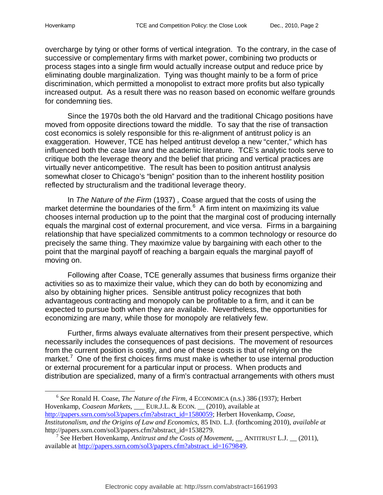overcharge by tying or other forms of vertical integration. To the contrary, in the case of successive or complementary firms with market power, combining two products or process stages into a single firm would actually increase output and reduce price by eliminating double marginalization. Tying was thought mainly to be a form of price discrimination, which permitted a monopolist to extract more profits but also typically increased output. As a result there was no reason based on economic welfare grounds for condemning ties.

Since the 1970s both the old Harvard and the traditional Chicago positions have moved from opposite directions toward the middle. To say that the rise of transaction cost economics is solely responsible for this re-alignment of antitrust policy is an exaggeration. However, TCE has helped antitrust develop a new "center," which has influenced both the case law and the academic literature. TCE's analytic tools serve to critique both the leverage theory and the belief that pricing and vertical practices are virtually never anticompetitive. The result has been to position antitrust analysis somewhat closer to Chicago's "benign" position than to the inherent hostility position reflected by structuralism and the traditional leverage theory.

In *The Nature of the Firm* (1937) *,* Coase argued that the costs of using the market determine the boundaries of the firm. $6$  A firm intent on maximizing its value chooses internal production up to the point that the marginal cost of producing internally equals the marginal cost of external procurement, and vice versa. Firms in a bargaining relationship that have specialized commitments to a common technology or resource do precisely the same thing. They maximize value by bargaining with each other to the point that the marginal payoff of reaching a bargain equals the marginal payoff of moving on.

Following after Coase, TCE generally assumes that business firms organize their activities so as to maximize their value, which they can do both by economizing and also by obtaining higher prices. Sensible antitrust policy recognizes that both advantageous contracting and monopoly can be profitable to a firm, and it can be expected to pursue both when they are available. Nevertheless, the opportunities for economizing are many, while those for monopoly are relatively few.

Further, firms always evaluate alternatives from their present perspective, which necessarily includes the consequences of past decisions. The movement of resources from the current position is costly, and one of these costs is that of relying on the market.<sup>7</sup> One of the first choices firms must make is whether to use internal production or external procurement for a particular input or process. When products and distribution are specialized, many of a firm's contractual arrangements with others must

l 6 *See* Ronald H. Coase, *The Nature of the Firm*, 4 ECONOMICA (n.s.) 386 (1937); Herbert Hovenkamp, *Coasean Markets*, \_\_\_ EUR.J.L. & ECON. \_\_ (2010), available at http://papers.ssrn.com/sol3/papers.cfm?abstract\_id=1580059; Herbert Hovenkamp, *Coase, Institutonalism, and the Origins of Law and Economics*, 85 IND. L.J. (forthcoming 2010), *available at* http://papers.ssrn.com/sol3/papers.cfm?abstract\_id=1538279.

<sup>&</sup>lt;sup>7</sup> See Herbert Hovenkamp, *Antitrust and the Costs of Movement*, *\_\_* ANTITRUST L.J. *\_\_* (2011), available at http://papers.ssrn.com/sol3/papers.cfm?abstract\_id=1679849.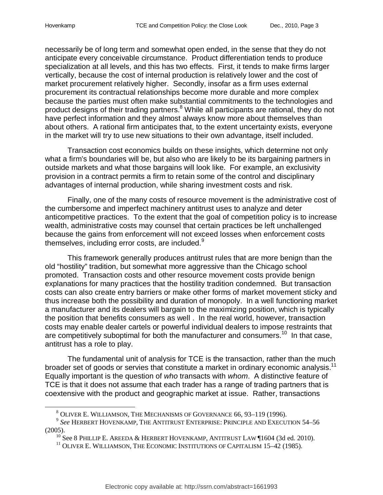necessarily be of long term and somewhat open ended, in the sense that they do not anticipate every conceivable circumstance. Product differentiation tends to produce specialization at all levels, and this has two effects. First, it tends to make firms larger vertically, because the cost of internal production is relatively lower and the cost of market procurement relatively higher. Secondly, insofar as a firm uses external procurement its contractual relationships become more durable and more complex because the parties must often make substantial commitments to the technologies and product designs of their trading partners.<sup>8</sup> While all participants are rational, they do not have perfect information and they almost always know more about themselves than about others. A rational firm anticipates that, to the extent uncertainty exists, everyone in the market will try to use new situations to their own advantage, itself included.

Transaction cost economics builds on these insights, which determine not only what a firm's boundaries will be, but also who are likely to be its bargaining partners in outside markets and what those bargains will look like. For example, an exclusivity provision in a contract permits a firm to retain some of the control and disciplinary advantages of internal production, while sharing investment costs and risk.

Finally, one of the many costs of resource movement is the administrative cost of the cumbersome and imperfect machinery antitrust uses to analyze and deter anticompetitive practices. To the extent that the goal of competition policy is to increase wealth, administrative costs may counsel that certain practices be left unchallenged because the gains from enforcement will not exceed losses when enforcement costs themselves, including error costs, are included.<sup>9</sup>

This framework generally produces antitrust rules that are more benign than the old "hostility" tradition, but somewhat more aggressive than the Chicago school promoted. Transaction costs and other resource movement costs provide benign explanations for many practices that the hostility tradition condemned. But transaction costs can also create entry barriers or make other forms of market movement sticky and thus increase both the possibility and duration of monopoly. In a well functioning market a manufacturer and its dealers will bargain to the maximizing position, which is typically the position that benefits consumers as well . In the real world, however, transaction costs may enable dealer cartels or powerful individual dealers to impose restraints that are competitively suboptimal for both the manufacturer and consumers.<sup>10</sup> In that case, antitrust has a role to play.

The fundamental unit of analysis for TCE is the transaction, rather than the much broader set of goods or servies that constitute a market in ordinary economic analysis.<sup>11</sup> Equally important is the question of *who* transacts with *whom*. A distinctive feature of TCE is that it does not assume that each trader has a range of trading partners that is coextensive with the product and geographic market at issue. Rather, transactions

<sup>8</sup> OLIVER E. WILLIAMSON, THE MECHANISMS OF GOVERNANCE 66, 93–119 (1996).

<sup>9</sup> *See* HERBERT HOVENKAMP, THE ANTITRUST ENTERPRISE: PRINCIPLE AND EXECUTION 54–56 (2005).

 $10$  See 8 PHILLIP E. AREEDA & HERBERT HOVENKAMP, ANTITRUST LAW  $\P 1604$  (3d ed. 2010).

<sup>&</sup>lt;sup>11</sup> OLIVER E. WILLIAMSON, THE ECONOMIC INSTITUTIONS OF CAPITALISM 15–42 (1985).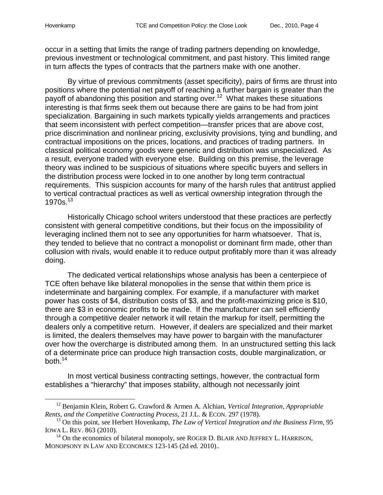occur in a setting that limits the range of trading partners depending on knowledge, previous investment or technological commitment, and past history. This limited range in turn affects the types of contracts that the partners make with one another.

By virtue of previous commitments (asset specificity), pairs of firms are thrust into positions where the potential net payoff of reaching a further bargain is greater than the payoff of abandoning this position and starting over.<sup>12</sup> What makes these situations interesting is that firms seek them out because there are gains to be had from joint specialization. Bargaining in such markets typically yields arrangements and practices that seem inconsistent with perfect competition—transfer prices that are above cost, price discrimination and nonlinear pricing, exclusivity provisions, tying and bundling, and contractual impositions on the prices, locations, and practices of trading partners. In classical political economy goods were generic and distribution was unspecialized. As a result, everyone traded with everyone else. Building on this premise, the leverage theory was inclined to be suspicious of situations where specific buyers and sellers in the distribution process were locked in to one another by long term contractual requirements. This suspicion accounts for many of the harsh rules that antitrust applied to vertical contractual practices as well as vertical ownership integration through the 1970s.<sup>13</sup>

Historically Chicago school writers understood that these practices are perfectly consistent with general competitive conditions, but their focus on the impossibility of leveraging inclined them not to see any opportunities for harm whatsoever. That is, they tended to believe that no contract a monopolist or dominant firm made, other than collusion with rivals, would enable it to reduce output profitably more than it was already doing.

The dedicated vertical relationships whose analysis has been a centerpiece of TCE often behave like bilateral monopolies in the sense that within them price is indeterminate and bargaining complex. For example, if a manufacturer with market power has costs of \$4, distribution costs of \$3, and the profit-maximizing price is \$10, there are \$3 in economic profits to be made. If the manufacturer can sell efficiently through a competitive dealer network it will retain the markup for itself, permitting the dealers only a competitive return. However, if dealers are specialized and their market is limited, the dealers themselves may have power to bargain with the manufacturer over how the overcharge is distributed among them. In an unstructured setting this lack of a determinate price can produce high transaction costs, double marginalization, or both. $^{14}$ 

In most vertical business contracting settings, however, the contractual form establishes a "hierarchy" that imposes stability, although not necessarily joint

<sup>12</sup> Benjamin Klein, Robert G. Crawford & Armen A. Alchian, *Vertical Integration, Appropriable Rents, and the Competitive Contracting Process*, 21 J.L. & ECON. 297 (1978).

<sup>&</sup>lt;sup>13</sup> On this point, see Herbert Hovenkamp, *The Law of Vertical Integration and the Business Firm*, 95 IOWA L. REV. 863 (2010).

 $14$  On the economics of bilateral monopoly, see ROGER D. BLAIR AND JEFFREY L. HARRISON, MONOPSONY IN LAW AND ECONOMICS 123-145 (2d ed. 2010)..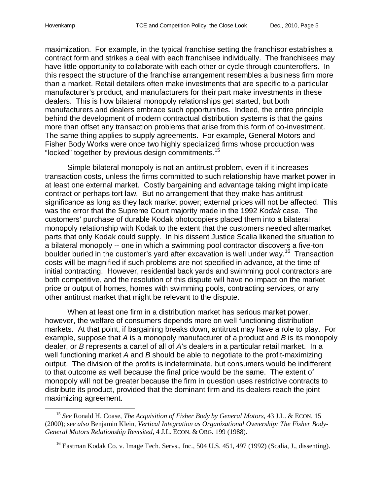maximization. For example, in the typical franchise setting the franchisor establishes a contract form and strikes a deal with each franchisee individually. The franchisees may have little opportunity to collaborate with each other or cycle through counteroffers. In this respect the structure of the franchise arrangement resembles a business firm more than a market. Retail detailers often make investments that are specific to a particular manufacturer's product, and manufacturers for their part make investments in these dealers. This is how bilateral monopoly relationships get started, but both manufacturers and dealers embrace such opportunities. Indeed, the entire principle behind the development of modern contractual distribution systems is that the gains more than offset any transaction problems that arise from this form of co-investment. The same thing applies to supply agreements. For example, General Motors and Fisher Body Works were once two highly specialized firms whose production was "locked" together by previous design commitments. 15

Simple bilateral monopoly is not an antitrust problem, even if it increases transaction costs, unless the firms committed to such relationship have market power in at least one external market. Costly bargaining and advantage taking might implicate contract or perhaps tort law. But no arrangement that they make has antitrust significance as long as they lack market power; external prices will not be affected. This was the error that the Supreme Court majority made in the 1992 *Kodak* case. The customers' purchase of durable Kodak photocopiers placed them into a bilateral monopoly relationship with Kodak to the extent that the customers needed aftermarket parts that only Kodak could supply. In his dissent Justice Scalia likened the situation to a bilateral monopoly -- one in which a swimming pool contractor discovers a five-ton boulder buried in the customer's yard after excavation is well under way.<sup>16</sup> Transaction costs will be magnified if such problems are not specified in advance, at the time of initial contracting. However, residential back yards and swimming pool contractors are both competitive, and the resolution of this dispute will have no impact on the market price or output of homes, homes with swimming pools, contracting services, or any other antitrust market that might be relevant to the dispute.

When at least one firm in a distribution market has serious market power, however, the welfare of consumers depends more on well functioning distribution markets. At that point, if bargaining breaks down, antitrust may have a role to play. For example, suppose that *A* is a monopoly manufacturer of a product and *B* is its monopoly dealer, or *B* represents a cartel of all of *A*'s dealers in a particular retail market. In a well functioning market *A* and *B* should be able to negotiate to the profit-maximizing output. The division of the profits is indeterminate, but consumers would be indifferent to that outcome as well because the final price would be the same. The extent of monopoly will not be greater because the firm in question uses restrictive contracts to distribute its product, provided that the dominant firm and its dealers reach the joint maximizing agreement.

<sup>15</sup> *See* Ronald H. Coase, *The Acquisition of Fisher Body by General Motors*, 43 J.L. & ECON. 15 (2000); se*e also* Benjamin Klein, *Vertical Integration as Organizational Ownership: The Fisher Body-General Motors Relationship Revisited*, 4 J.L. ECON. & ORG*.* 199 (1988).

<sup>&</sup>lt;sup>16</sup> Eastman Kodak Co. v. Image Tech. Servs., Inc., 504 U.S. 451, 497 (1992) (Scalia, J., dissenting).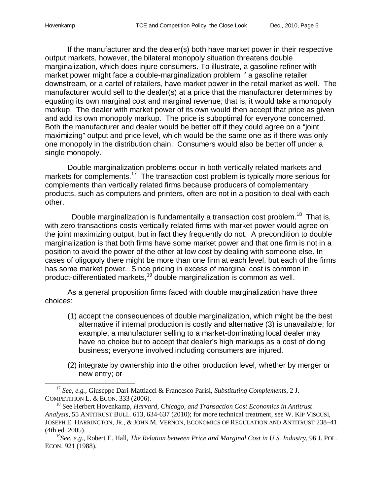If the manufacturer and the dealer(s) both have market power in their respective output markets, however, the bilateral monopoly situation threatens double marginalization, which does injure consumers. To illustrate, a gasoline refiner with market power might face a double-marginalization problem if a gasoline retailer downstream, or a cartel of retailers, have market power in the retail market as well. The manufacturer would sell to the dealer(s) at a price that the manufacturer determines by equating its own marginal cost and marginal revenue; that is, it would take a monopoly markup. The dealer with market power of its own would then accept that price as given and add its own monopoly markup. The price is suboptimal for everyone concerned. Both the manufacturer and dealer would be better off if they could agree on a "joint maximizing" output and price level, which would be the same one as if there was only one monopoly in the distribution chain. Consumers would also be better off under a single monopoly.

Double marginalization problems occur in both vertically related markets and markets for complements.<sup>17</sup> The transaction cost problem is typically more serious for complements than vertically related firms because producers of complementary products, such as computers and printers, often are not in a position to deal with each other.

Double marginalization is fundamentally a transaction cost problem.<sup>18</sup> That is, with zero transactions costs vertically related firms with market power would agree on the joint maximizing output, but in fact they frequently do not. A precondition to double marginalization is that both firms have some market power and that one firm is not in a position to avoid the power of the other at low cost by dealing with someone else. In cases of oligopoly there might be more than one firm at each level, but each of the firms has some market power. Since pricing in excess of marginal cost is common in product-differentiated markets,<sup>19</sup> double marginalization is common as well.

As a general proposition firms faced with double marginalization have three choices:

- (1) accept the consequences of double marginalization, which might be the best alternative if internal production is costly and alternative (3) is unavailable; for example, a manufacturer selling to a market-dominating local dealer may have no choice but to accept that dealer's high markups as a cost of doing business; everyone involved including consumers are injured.
- (2) integrate by ownership into the other production level, whether by merger or new entry; or

<sup>17</sup> *See, e.g.*, Giuseppe Dari-Mattiacci & Francesco Parisi, *Substituting Complements*, 2 J. COMPETITION L. & ECON. 333 (2006).

<sup>18</sup> See Herbert Hovenkamp, *Harvard, Chicago, and Transaction Cost Economics in Antitrust Analysis*, 55 ANTITRUST BULL. 613, 634-637 (2010); for more technical treatment, see W. KIP VISCUSI, JOSEPH E. HARRINGTON, JR., & JOHN M. VERNON, ECONOMICS OF REGULATION AND ANTITRUST 238–41 (4th ed. 2005).

<sup>19</sup>*See, e.g.*, Robert E. Hall, *The Relation between Price and Marginal Cost in U.S. Industry*, 96 J. POL. ECON. 921 (1988).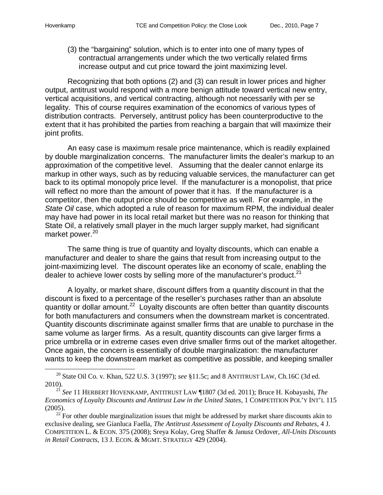(3) the "bargaining" solution, which is to enter into one of many types of contractual arrangements under which the two vertically related firms increase output and cut price toward the joint maximizing level.

Recognizing that both options (2) and (3) can result in lower prices and higher output, antitrust would respond with a more benign attitude toward vertical new entry, vertical acquisitions, and vertical contracting, although not necessarily with per se legality. This of course requires examination of the economics of various types of distribution contracts. Perversely, antitrust policy has been counterproductive to the extent that it has prohibited the parties from reaching a bargain that will maximize their joint profits.

An easy case is maximum resale price maintenance, which is readily explained by double marginalization concerns. The manufacturer limits the dealer's markup to an approximation of the competitive level. Assuming that the dealer cannot enlarge its markup in other ways, such as by reducing valuable services, the manufacturer can get back to its optimal monopoly price level. If the manufacturer is a monopolist, that price will reflect no more than the amount of power that it has. If the manufacturer is a competitor, then the output price should be competitive as well. For example, in the *State Oil* case, which adopted a rule of reason for maximum RPM, the individual dealer may have had power in its local retail market but there was no reason for thinking that State Oil, a relatively small player in the much larger supply market, had significant market power.<sup>20</sup>

The same thing is true of quantity and loyalty discounts, which can enable a manufacturer and dealer to share the gains that result from increasing output to the joint-maximizing level. The discount operates like an economy of scale, enabling the dealer to achieve lower costs by selling more of the manufacturer's product.<sup>21</sup>

A loyalty, or market share, discount differs from a quantity discount in that the discount is fixed to a percentage of the reseller's purchases rather than an absolute quantity or dollar amount.<sup>22</sup> Loyalty discounts are often better than quantity discounts for both manufacturers and consumers when the downstream market is concentrated. Quantity discounts discriminate against smaller firms that are unable to purchase in the same volume as larger firms. As a result, quantity discounts can give larger firms a price umbrella or in extreme cases even drive smaller firms out of the market altogether. Once again, the concern is essentially of double marginalization: the manufacturer wants to keep the downstream market as competitive as possible, and keeping smaller

<sup>20</sup> State Oil Co. v. Khan, 522 U.S. 3 (1997); *see* §11.5c; and 8 ANTITRUST LAW, Ch.16C (3d ed. 2010).

<sup>21</sup> *See* 11 HERBERT HOVENKAMP, ANTITRUST LAW ¶1807 (3d ed. 2011); Bruce H. Kobayashi, *The Economics of Loyalty Discounts and Antitrust Law in the United States*, 1 COMPETITION POL'Y INT'L 115 (2005).

 $^{22}$  For other double marginalization issues that might be addressed by market share discounts akin to exclusive dealing, see Gianluca Faella, *The Antitrust Assessment of Loyalty Discounts and Rebates*, 4 J. COMPETITION L. & ECON. 375 (2008); Sreya Kolay, Greg Shaffer & Janusz Ordover, *All-Units Discounts in Retail Contracts*, 13 J. ECON. & MGMT. STRATEGY 429 (2004).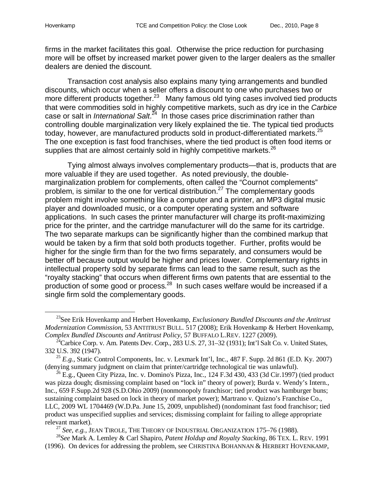firms in the market facilitates this goal. Otherwise the price reduction for purchasing more will be offset by increased market power given to the larger dealers as the smaller dealers are denied the discount.

Transaction cost analysis also explains many tying arrangements and bundled discounts, which occur when a seller offers a discount to one who purchases two or more different products together.<sup>23</sup> Many famous old tying cases involved tied products that were commodities sold in highly competitive markets, such as dry ice in the *Carbice* case or salt in *International Salt*. 24 In those cases price discrimination rather than controlling double marginalization very likely explained the tie. The typical tied products today, however, are manufactured products sold in product-differentiated markets.<sup>25</sup> The one exception is fast food franchises, where the tied product is often food items or supplies that are almost certainly sold in highly competitive markets. $^{26}$ 

Tying almost always involves complementary products—that is, products that are more valuable if they are used together. As noted previously, the doublemarginalization problem for complements, often called the "Cournot complements" problem, is similar to the one for vertical distribution.<sup>27</sup> The complementary goods problem might involve something like a computer and a printer, an MP3 digital music player and downloaded music, or a computer operating system and software applications. In such cases the printer manufacturer will charge its profit-maximizing price for the printer, and the cartridge manufacturer will do the same for its cartridge. The two separate markups can be significantly higher than the combined markup that would be taken by a firm that sold both products together. Further, profits would be higher for the single firm than for the two firms separately, and consumers would be better off because output would be higher and prices lower. Complementary rights in intellectual property sold by separate firms can lead to the same result, such as the "royalty stacking" that occurs when different firms own patents that are essential to the production of some good or process.<sup>28</sup> In such cases welfare would be increased if a single firm sold the complementary goods.

<sup>27</sup> *See, e.g.*, JEAN TIROLE, THE THEORY OF INDUSTRIAL ORGANIZATION 175–76 (1988).

<sup>23</sup>See Erik Hovenkamp and Herbert Hovenkamp, *Exclusionary Bundled Discounts and the Antitrust Modernization Commission*, 53 ANTITRUST BULL. 517 (2008); Erik Hovenkamp & Herbert Hovenkamp, *Complex Bundled Discounts and Antitrust Policy*, 57 BUFFALO L.REV. 1227 (2009).

<sup>&</sup>lt;sup>24</sup>Carbice Corp. v. Am. Patents Dev. Corp., 283 U.S. 27, 31–32 (1931); Int'l Salt Co. v. United States, 332 U.S. 392 (1947).

 $^{25}$  *E.g.*, Static Control Components, Inc. v. Lexmark Int'l, Inc., 487 F. Supp. 2d 861 (E.D. Ky. 2007) (denying summary judgment on claim that printer/cartridge technological tie was unlawful).

 $^{26}$  E.g., Queen City Pizza, Inc. v. Domino's Pizza, Inc., 124 F.3d 430, 433 (3d Cir.1997) (tied product was pizza dough; dismissing complaint based on "lock in" theory of power); Burda v. Wendy's Intern., Inc., 659 F.Supp.2d 928 (S.D.Ohio 2009) (nonmonopoly franchisor; tied product was hamburger buns; sustaining complaint based on lock in theory of market power); Martrano v. Quizno's Franchise Co., LLC, 2009 WL 1704469 (W.D.Pa. June 15, 2009, unpublished) (nondominant fast food franchisor; tied product was unspecified supplies and services; dismissing complaint for failing to allege appropriate relevant market).

<sup>28</sup>*See* Mark A. Lemley & Carl Shapiro, *Patent Holdup and Royalty Stacking*, 86 TEX. L. REV. 1991 (1996). On devices for addressing the problem, see CHRISTINA BOHANNAN & HERBERT HOVENKAMP,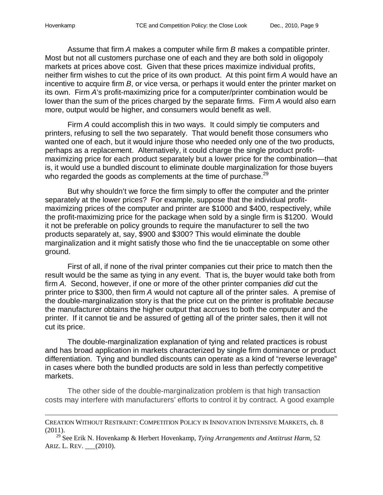Assume that firm *A* makes a computer while firm *B* makes a compatible printer. Most but not all customers purchase one of each and they are both sold in oligopoly markets at prices above cost. Given that these prices maximize individual profits, neither firm wishes to cut the price of its own product. At this point firm *A* would have an incentive to acquire firm *B*, or vice versa, or perhaps it would enter the printer market on its own. Firm *A*'s profit-maximizing price for a computer/printer combination would be lower than the sum of the prices charged by the separate firms. Firm *A* would also earn more, output would be higher, and consumers would benefit as well.

Firm *A* could accomplish this in two ways. It could simply tie computers and printers, refusing to sell the two separately. That would benefit those consumers who wanted one of each, but it would injure those who needed only one of the two products, perhaps as a replacement. Alternatively, it could charge the single product profitmaximizing price for each product separately but a lower price for the combination—that is, it would use a bundled discount to eliminate double marginalization for those buyers who regarded the goods as complements at the time of purchase.<sup>29</sup>

But why shouldn't we force the firm simply to offer the computer and the printer separately at the lower prices? For example, suppose that the individual profitmaximizing prices of the computer and printer are \$1000 and \$400, respectively, while the profit-maximizing price for the package when sold by a single firm is \$1200. Would it not be preferable on policy grounds to require the manufacturer to sell the two products separately at, say, \$900 and \$300? This would eliminate the double marginalization and it might satisfy those who find the tie unacceptable on some other ground.

First of all, if none of the rival printer companies cut their price to match then the result would be the same as tying in any event. That is, the buyer would take both from firm *A*. Second, however, if one or more of the other printer companies *did* cut the printer price to \$300, then firm *A* would not capture all of the printer sales. A premise of the double-marginalization story is that the price cut on the printer is profitable *because* the manufacturer obtains the higher output that accrues to both the computer and the printer. If it cannot tie and be assured of getting all of the printer sales, then it will not cut its price.

The double-marginalization explanation of tying and related practices is robust and has broad application in markets characterized by single firm dominance or product differentiation. Tying and bundled discounts can operate as a kind of "reverse leverage" in cases where both the bundled products are sold in less than perfectly competitive markets.

The other side of the double-marginalization problem is that high transaction costs may interfere with manufacturers' efforts to control it by contract. A good example

CREATION WITHOUT RESTRAINT: COMPETITION POLICY IN INNOVATION INTENSIVE MARKETS, ch. 8 (2011).

<sup>29</sup> See Erik N. Hovenkamp & Herbert Hovenkamp, *Tying Arrangements and Antitrust Harm*, 52 ARIZ. L. REV. \_\_\_(2010).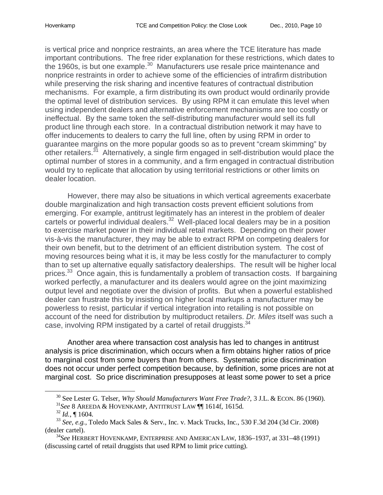is vertical price and nonprice restraints, an area where the TCE literature has made important contributions. The free rider explanation for these restrictions, which dates to the 1960s, is but one example. $^{30}$  Manufacturers use resale price maintenance and nonprice restraints in order to achieve some of the efficiencies of intrafirm distribution while preserving the risk sharing and incentive features of contractual distribution mechanisms. For example, a firm distributing its own product would ordinarily provide the optimal level of distribution services. By using RPM it can emulate this level when using independent dealers and alternative enforcement mechanisms are too costly or ineffectual. By the same token the self-distributing manufacturer would sell its full product line through each store. In a contractual distribution network it may have to offer inducements to dealers to carry the full line, often by using RPM in order to guarantee margins on the more popular goods so as to prevent "cream skimming" by other retailers.<sup>31</sup> Alternatively, a single firm engaged in self-distribution would place the optimal number of stores in a community, and a firm engaged in contractual distribution would try to replicate that allocation by using territorial restrictions or other limits on dealer location.

However, there may also be situations in which vertical agreements exacerbate double marginalization and high transaction costs prevent efficient solutions from emerging. For example, antitrust legitimately has an interest in the problem of dealer cartels or powerful individual dealers.<sup>32</sup> Well-placed local dealers may be in a position to exercise market power in their individual retail markets. Depending on their power vis-à-vis the manufacturer, they may be able to extract RPM on competing dealers for their own benefit, but to the detriment of an efficient distribution system. The cost of moving resources being what it is, it may be less costly for the manufacturer to comply than to set up alternative equally satisfactory dealerships. The result will be higher local prices.<sup>33</sup> Once again, this is fundamentally a problem of transaction costs. If bargaining worked perfectly, a manufacturer and its dealers would agree on the joint maximizing output level and negotiate over the division of profits. But when a powerful established dealer can frustrate this by insisting on higher local markups a manufacturer may be powerless to resist, particular if vertical integration into retailing is not possible on account of the need for distribution by multiproduct retailers. *Dr. Miles* itself was such a case, involving RPM instigated by a cartel of retail druggists.<sup>34</sup>

Another area where transaction cost analysis has led to changes in antitrust analysis is price discrimination, which occurs when a firm obtains higher ratios of price to marginal cost from some buyers than from others. Systematic price discrimination does not occur under perfect competition because, by definition, some prices are not at marginal cost. So price discrimination presupposes at least some power to set a price

l

<sup>30</sup> See Lester G. Telser, *Why Should Manufacturers Want Free Trade?,* 3 J.L. & ECON. 86 (1960). <sup>31</sup>*See* 8 AREEDA & HOVENKAMP, ANTITRUST LAW ¶¶ 1614f, 1615d.

 $^{32}$ *Id.*, ¶ 1604.

<sup>33</sup> *See, e.g.*, Toledo Mack Sales & Serv., Inc. v. Mack Trucks, Inc., 530 F.3d 204 (3d Cir. 2008) (dealer cartel).

<sup>34</sup>*See* HERBERT HOVENKAMP, ENTERPRISE AND AMERICAN LAW, 1836–1937, at 331–48 (1991) (discussing cartel of retail druggists that used RPM to limit price cutting).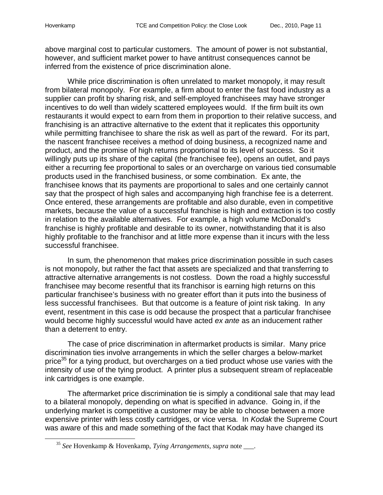above marginal cost to particular customers. The amount of power is not substantial, however, and sufficient market power to have antitrust consequences cannot be inferred from the existence of price discrimination alone.

While price discrimination is often unrelated to market monopoly, it may result from bilateral monopoly. For example, a firm about to enter the fast food industry as a supplier can profit by sharing risk, and self-employed franchisees may have stronger incentives to do well than widely scattered employees would. If the firm built its own restaurants it would expect to earn from them in proportion to their relative success, and franchising is an attractive alternative to the extent that it replicates this opportunity while permitting franchisee to share the risk as well as part of the reward. For its part, the nascent franchisee receives a method of doing business, a recognized name and product, and the promise of high returns proportional to its level of success. So it willingly puts up its share of the capital (the franchisee fee), opens an outlet, and pays either a recurring fee proportional to sales or an overcharge on various tied consumable products used in the franchised business, or some combination. Ex ante, the franchisee knows that its payments are proportional to sales and one certainly cannot say that the prospect of high sales and accompanying high franchise fee is a deterrent. Once entered, these arrangements are profitable and also durable, even in competitive markets, because the value of a successful franchise is high and extraction is too costly in relation to the available alternatives. For example, a high volume McDonald's franchise is highly profitable and desirable to its owner, notwithstanding that it is also highly profitable to the franchisor and at little more expense than it incurs with the less successful franchisee.

In sum, the phenomenon that makes price discrimination possible in such cases is not monopoly, but rather the fact that assets are specialized and that transferring to attractive alternative arrangements is not costless. Down the road a highly successful franchisee may become resentful that its franchisor is earning high returns on this particular franchisee's business with no greater effort than it puts into the business of less successful franchisees. But that outcome is a feature of joint risk taking. In any event, resentment in this case is odd because the prospect that a particular franchisee would become highly successful would have acted *ex ante* as an inducement rather than a deterrent to entry.

The case of price discrimination in aftermarket products is similar. Many price discrimination ties involve arrangements in which the seller charges a below-market price<sup>35</sup> for a tying product, but overcharges on a tied product whose use varies with the intensity of use of the tying product. A printer plus a subsequent stream of replaceable ink cartridges is one example.

The aftermarket price discrimination tie is simply a conditional sale that may lead to a bilateral monopoly, depending on what is specified in advance. Going in, if the underlying market is competitive a customer may be able to choose between a more expensive printer with less costly cartridges, or vice versa. In *Kodak* the Supreme Court was aware of this and made something of the fact that Kodak may have changed its

<sup>35</sup> *See* Hovenkamp & Hovenkamp, *Tying Arrangements*, *supra* note \_\_\_.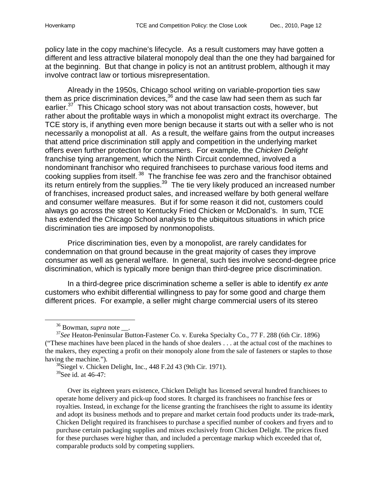policy late in the copy machine's lifecycle. As a result customers may have gotten a different and less attractive bilateral monopoly deal than the one they had bargained for at the beginning. But that change in policy is not an antitrust problem, although it may involve contract law or tortious misrepresentation.

Already in the 1950s, Chicago school writing on variable-proportion ties saw them as price discrimination devices, $36$  and the case law had seen them as such far earlier.<sup>37</sup> This Chicago school story was not about transaction costs, however, but rather about the profitable ways in which a monopolist might extract its overcharge. The TCE story is, if anything even more benign because it starts out with a seller who is not necessarily a monopolist at all. As a result, the welfare gains from the output increases that attend price discrimination still apply and competition in the underlying market offers even further protection for consumers. For example, the *Chicken Delight* franchise tying arrangement, which the Ninth Circuit condemned, involved a nondominant franchisor who required franchisees to purchase various food items and cooking supplies from itself.<sup>38</sup> The franchise fee was zero and the franchisor obtained its return entirely from the supplies.<sup>39</sup> The tie very likely produced an increased number of franchises, increased product sales, and increased welfare by both general welfare and consumer welfare measures. But if for some reason it did not, customers could always go across the street to Kentucky Fried Chicken or McDonald's. In sum, TCE has extended the Chicago School analysis to the ubiquitous situations in which price discrimination ties are imposed by nonmonopolists.

Price discrimination ties, even by a monopolist, are rarely candidates for condemnation on that ground because in the great majority of cases they improve consumer as well as general welfare. In general, such ties involve second-degree price discrimination, which is typically more benign than third-degree price discrimination.

In a third-degree price discrimination scheme a seller is able to identify *ex ante* customers who exhibit differential willingness to pay for some good and charge them different prices. For example, a seller might charge commercial users of its stereo

<sup>36</sup> Bowman, *supra* note \_\_.

l

<sup>37</sup>*See* Heaton-Peninsular Button-Fastener Co. v. Eureka Specialty Co., 77 F. 288 (6th Cir. 1896) ("These machines have been placed in the hands of shoe dealers . . . at the actual cost of the machines to the makers, they expecting a profit on their monopoly alone from the sale of fasteners or staples to those having the machine.").

 $38$ Siegel v. Chicken Delight, Inc., 448 F.2d 43 (9th Cir. 1971).

<sup>&</sup>lt;sup>39</sup>See id. at 46-47:

Over its eighteen years existence, Chicken Delight has licensed several hundred franchisees to operate home delivery and pick-up food stores. It charged its franchisees no franchise fees or royalties. Instead, in exchange for the license granting the franchisees the right to assume its identity and adopt its business methods and to prepare and market certain food products under its trade-mark, Chicken Delight required its franchisees to purchase a specified number of cookers and fryers and to purchase certain packaging supplies and mixes exclusively from Chicken Delight. The prices fixed for these purchases were higher than, and included a percentage markup which exceeded that of, comparable products sold by competing suppliers.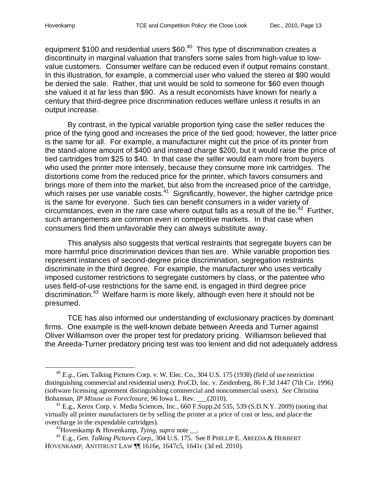equipment \$100 and residential users \$60.<sup>40</sup> This type of discrimination creates a discontinuity in marginal valuation that transfers some sales from high-value to lowvalue customers. Consumer welfare can be reduced even if output remains constant. In this illustration, for example, a commercial user who valued the stereo at \$90 would be denied the sale. Rather, that unit would be sold to someone for \$60 even though she valued it at far less than \$90. As a result economists have known for nearly a century that third-degree price discrimination reduces welfare unless it results in an output increase.

By contrast, in the typical variable proportion tying case the seller reduces the price of the tying good and increases the price of the tied good; however, the latter price is the same for all. For example, a manufacturer might cut the price of its printer from the stand-alone amount of \$400 and instead charge \$200, but it would raise the price of tied cartridges from \$25 to \$40. In that case the seller would earn more from buyers who used the printer more intensely, because they consume more ink cartridges. The distortions come from the reduced price for the printer, which favors consumers and brings more of them into the market, but also from the increased price of the cartridge, which raises per use variable costs.<sup>41</sup> Significantly, however, the higher cartridge price is the same for everyone. Such ties can benefit consumers in a wider variety of circumstances, even in the rare case where output falls as a result of the tie.<sup>42</sup> Further, such arrangements are common even in competitive markets. In that case when consumers find them unfavorable they can always substitute away.

This analysis also suggests that vertical restraints that segregate buyers can be more harmful price discrimination devices than ties are. While variable proportion ties represent instances of second-degree price discrimination, segregation restraints discriminate in the third degree. For example, the manufacturer who uses vertically imposed customer restrictions to segregate customers by class, or the patentee who uses field-of-use restrictions for the same end, is engaged in third degree price discrimination.<sup>43</sup> Welfare harm is more likely, although even here it should not be presumed.

TCE has also informed our understanding of exclusionary practices by dominant firms. One example is the well-known debate between Areeda and Turner against Oliver Williamson over the proper test for predatory pricing. Williamson believed that the Areeda-Turner predatory pricing test was too lenient and did not adequately address

<sup>40</sup> *E.g.*, Gen. Talking Pictures Corp. v. W. Elec. Co., 304 U.S. 175 (1938) (field of use restriction distinguishing commercial and residential users); ProCD, Inc. v. Zeidenberg, 86 F.3d 1447 (7th Cir. 1996) (software licensing agreement distinguishing commercial and noncommercial users). *See* Christina Bohannan, *IP Misuse as Foreclosure*, 96 Iowa L. Rev. \_\_\_(2010).

 $^{41}$  E.g., Xerox Corp. v. Media Sciences, Inc., 660 F.Supp.2d 535, 539 (S.D.N.Y. 2009) (noting that virtually all printer manufacturers tie by selling the printer at a price of cost or less, and place the overcharge in the expendable cartridges).

<sup>42</sup>Hovenkamp & Hovenkamp, *Tying*, *supra* note \_\_.

<sup>43</sup> E.g., *Gen. Talking Pictures Corp.*, 304 U.S. 175. See 8 PHILLIP E. AREEDA & HERBERT HOVENKAMP, ANTITRUST LAW ¶¶ 1616e, 1647c5, 1641c (3d ed. 2010).